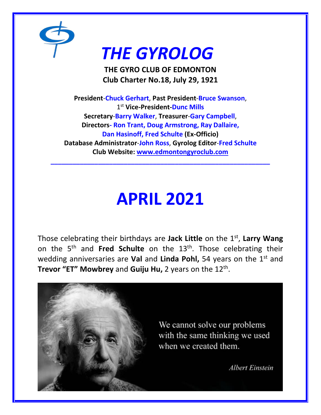

# *THE GYROLOG*

**THE GYRO CLUB OF EDMONTON Club Charter No.18, July 29, 1921**

**President**-**Chuck Gerhart**, **Past President**-**Bruce Swanson**, 1 st **Vice-President-Dunc Mills Secretary**-**Barry Walker**, **Treasurer**-**Gary Campbell**, **Directors- Ron Trant, Doug Armstrong, Ray Dallaire, Dan Hasinoff, Fred Schulte (Ex-Officio) Database Administrator**-**John Ross**, **Gyrolog Editor**-**Fred Schulte Club Website: [www.edmontongyroclub.com](http://www.edmontongyroclub.com/)**

**\_\_\_\_\_\_\_\_\_\_\_\_\_\_\_\_\_\_\_\_\_\_\_\_\_\_\_\_\_\_\_\_\_\_\_\_\_\_\_\_\_\_\_\_\_\_\_\_\_\_\_\_\_\_\_\_\_\_\_\_**

## **APRIL 2021**

Those celebrating their birthdays are **Jack Little** on the 1st , **Larry Wang** on the 5<sup>th</sup> and Fred Schulte on the 13<sup>th</sup>. Those celebrating their wedding anniversaries are **Val** and **Linda Pohl,** 54 years on the 1<sup>st</sup> and **Trevor "ET" Mowbrey** and **Guiju Hu,** 2 years on the 12th .

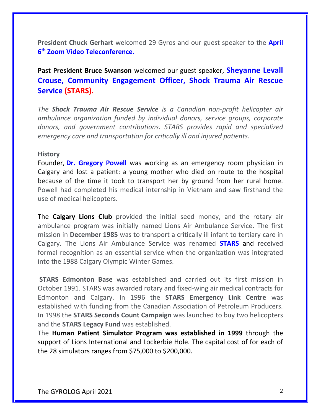**President Chuck Gerhart** welcomed 29 Gyros and our guest speaker to the **April 6 th Zoom Video Teleconference.**

**Past President Bruce Swanson** welcomed our guest speaker, **Sheyanne Levall Crouse, Community Engagement Officer, Shock Trauma Air Rescue Service (STARS).**

*The Shock Trauma Air Rescue Service is a Canadian non-profit helicopter air ambulance organization funded by individual donors, service groups, corporate donors, and government contributions. STARS provides rapid and specialized emergency care and transportation for critically ill and injured patients.*

#### **History**

Founder, **[Dr. Gregory Powell](https://en.wikipedia.org/wiki/D._Gregory_Powell)** was working as an emergency room physician in Calgary and lost a patient: a young mother who died on route to the hospital because of the time it took to transport her by ground from her rural home. Powell had completed his medical internship in Vietnam and saw firsthand the use of medical helicopters.

The **Calgary Lions Club** provided the initial seed money, and the rotary air ambulance program was initially named Lions Air Ambulance Service. The first mission in **December 1985** was to transport a critically ill infant to tertiary care in Calgary. The Lions Air Ambulance Service was renamed **STARS** and received formal recognition as an essential service when the organization was integrated into the 1988 Calgary Olympic Winter Games.

**STARS Edmonton Base** was established and carried out its first mission in October 1991. STARS was awarded rotary and fixed-wing air medical contracts for Edmonton and Calgary. In 1996 the **STARS Emergency Link Centre** was established with funding from the Canadian Association of Petroleum Producers. In 1998 the **STARS Seconds Count Campaign** was launched to buy two helicopters and the **STARS Legacy Fund** was established.

The **Human Patient Simulator Program was established in 1999** through the support of Lions International and Lockerbie Hole. The capital cost of for each of the 28 simulators ranges from \$75,000 to \$200,000.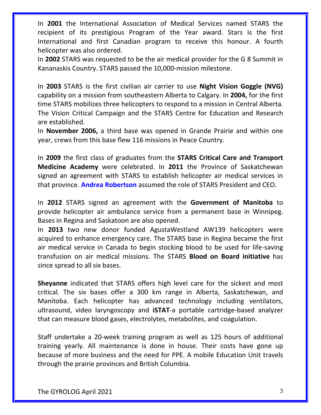In **2001** the International Association of Medical Services named STARS the recipient of its prestigious Program of the Year award. Stars is the first International and first Canadian program to receive this honour. A fourth helicopter was also ordered.

In **2002** STARS was requested to be the air medical provider for the G 8 Summit in Kananaskis Country. STARS passed the 10,000-mission milestone.

In **2003** STARS is the first civilian air carrier to use **Night Vision Goggle (NVG)** capability on a mission from southeastern Alberta to Calgary. In **2004,** for the first time STARS mobilizes three helicopters to respond to a mission in Central Alberta. The Vision Critical Campaign and the STARS Centre for Education and Research are established.

In **November 2006,** a third base was opened in Grande Prairie and within one year, crews from this base flew 116 missions in Peace Country.

In **2009** the first class of graduates from the **STARS Critical Care and Transport Medicine Academy** were celebrated. In **2011** the Province of Saskatchewan signed an agreement with STARS to establish helicopter air medical services in that province. **Andrea Robertson** assumed the role of STARS President and CEO.

In **2012** STARS signed an agreement with the **Government of Manitoba** to provide helicopter air ambulance service from a permanent base in Winnipeg. Bases in Regina and Saskatoon are also opened.

In **2013** two new donor funded AgustaWestland AW139 helicopters were acquired to enhance emergency care. The STARS base in Regina became the first air medical service in Canada to begin stocking blood to be used for life-saving transfusion on air medical missions. The STARS **Blood on Board initiative** has since spread to all six bases.

**Sheyanne** indicated that STARS offers high level care for the sickest and most critical. The six bases offer a 300 km range in Alberta, Saskatchewan, and Manitoba. Each helicopter has advanced technology including ventilators, ultrasound, video laryngoscopy and **iSTAT**-a portable cartridge-based analyzer that can measure blood gases, electrolytes, metabolites, and coagulation.

Staff undertake a 20-week training program as well as 125 hours of additional training yearly. All maintenance is done in house. Their costs have gone up because of more business and the need for PPE. A mobile Education Unit travels through the prairie provinces and British Columbia.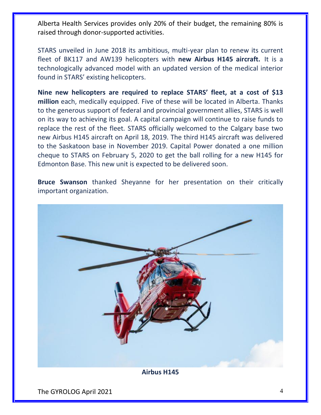Alberta Health Services provides only 20% of their budget, the remaining 80% is raised through donor-supported activities.

STARS unveiled in June 2018 its ambitious, multi-year plan to renew its current fleet of BK117 and AW139 helicopters with **new Airbus H145 aircraft.** It is a technologically advanced model with an updated version of the medical interior found in STARS' existing helicopters.

**Nine new helicopters are required to replace STARS' fleet, at a cost of \$13 million** each, medically equipped. Five of these will be located in Alberta. Thanks to the generous support of federal and provincial government allies, STARS is well on its way to achieving its goal. A capital campaign will continue to raise funds to replace the rest of the fleet. STARS officially welcomed to the Calgary base two new Airbus H145 aircraft on April 18, 2019. The third H145 aircraft was delivered to the Saskatoon base in November 2019. Capital Power donated a one million cheque to STARS on February 5, 2020 to get the ball rolling for a new H145 for Edmonton Base. This new unit is expected to be delivered soon.

**Bruce Swanson** thanked Sheyanne for her presentation on their critically important organization.



The GYROLOG April 2021 4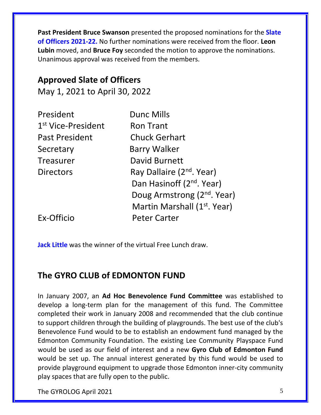**Past President Bruce Swanson** presented the proposed nominations for the **Slate of Officers 2021-22.** No further nominations were received from the floor. **Leon Lubin** moved, and **Bruce Foy** seconded the motion to approve the nominations. Unanimous approval was received from the members.

## **Approved Slate of Officers**

May 1, 2021 to April 30, 2022

| President                      | <b>Dunc Mills</b>                        |
|--------------------------------|------------------------------------------|
| 1 <sup>st</sup> Vice-President | <b>Ron Trant</b>                         |
| <b>Past President</b>          | <b>Chuck Gerhart</b>                     |
| Secretary                      | <b>Barry Walker</b>                      |
| <b>Treasurer</b>               | David Burnett                            |
| <b>Directors</b>               | Ray Dallaire (2 <sup>nd</sup> . Year)    |
|                                | Dan Hasinoff (2 <sup>nd</sup> . Year)    |
|                                | Doug Armstrong (2 <sup>nd</sup> . Year)  |
|                                | Martin Marshall (1 <sup>st</sup> . Year) |
| Ex-Officio                     | <b>Peter Carter</b>                      |

**Jack Little** was the winner of the virtual Free Lunch draw.

## **The GYRO CLUB of EDMONTON FUND**

In January 2007, an **Ad Hoc Benevolence Fund Committee** was established to develop a long-term plan for the management of this fund. The Committee completed their work in January 2008 and recommended that the club continue to support children through the building of playgrounds. The best use of the club's Benevolence Fund would to be to establish an endowment fund managed by the Edmonton Community Foundation. The existing Lee Community Playspace Fund would be used as our field of interest and a new **Gyro Club of Edmonton Fund** would be set up. The annual interest generated by this fund would be used to provide playground equipment to upgrade those Edmonton inner-city community play spaces that are fully open to the public.

The GYROLOG April 2021 5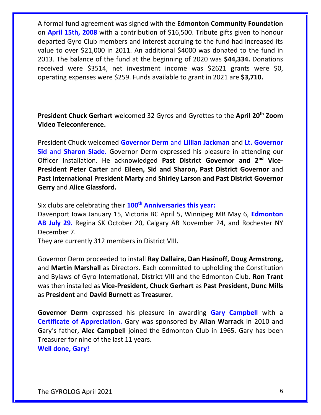A formal fund agreement was signed with the **Edmonton Community Foundation** on **April 15th, 2008** with a contribution of \$16,500. Tribute gifts given to honour departed Gyro Club members and interest accruing to the fund had increased its value to over \$21,000 in 2011. An additional \$4000 was donated to the fund in 2013. The balance of the fund at the beginning of 2020 was **\$44,334.** Donations received were \$3514, net investment income was \$2621 grants were \$0, operating expenses were \$259. Funds available to grant in 2021 are **\$3,710.**

**President Chuck Gerhart** welcomed 32 Gyros and Gyrettes to the **April 20th Zoom Video Teleconference.**

President Chuck welcomed **Governor Derm** and **Lillian Jackman** and **Lt. Governor Sid** and **Sharon Slade.** Governor Derm expressed his pleasure in attending our Officer Installation. He acknowledged **Past District Governor and 2nd Vice-President Peter Carter** and **Eileen, Sid and Sharon, Past District Governor** and **Past International President Marty** and **Shirley Larson and Past District Governor Gerry** and **Alice Glassford.**

Six clubs are celebrating their **100th Anniversaries this year:**

Davenport Iowa January 15, Victoria BC April 5, Winnipeg MB May 6, **Edmonton AB July 29.** Regina SK October 20, Calgary AB November 24, and Rochester NY December 7.

They are currently 312 members in District VIII.

Governor Derm proceeded to install **Ray Dallaire, Dan Hasinoff, Doug Armstrong,** and **Martin Marshall** as Directors. Each committed to upholding the Constitution and Bylaws of Gyro International, District VIII and the Edmonton Club. **Ron Trant** was then installed as **Vice-President, Chuck Gerhart** as **Past President, Dunc Mills**  as **President** and **David Burnett** as **Treasurer.**

**Governor Derm** expressed his pleasure in awarding **Gary Campbell** with a **Certificate of Appreciation.** Gary was sponsored by **Allan Warrack** in 2010 and Gary's father, **Alec Campbell** joined the Edmonton Club in 1965. Gary has been Treasurer for nine of the last 11 years.

**Well done, Gary!**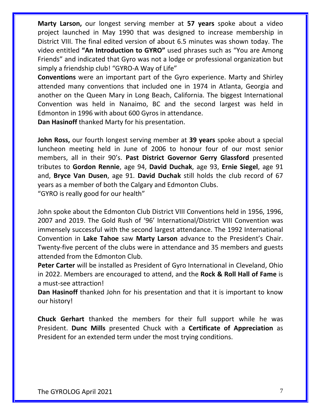**Marty Larson,** our longest serving member at **57 years** spoke about a video project launched in May 1990 that was designed to increase membership in District VIII. The final edited version of about 6.5 minutes was shown today. The video entitled **"An Introduction to GYRO"** used phrases such as "You are Among Friends" and indicated that Gyro was not a lodge or professional organization but simply a friendship club! "GYRO-A Way of Life"

**Conventions** were an important part of the Gyro experience. Marty and Shirley attended many conventions that included one in 1974 in Atlanta, Georgia and another on the Queen Mary in Long Beach, California. The biggest International Convention was held in Nanaimo, BC and the second largest was held in Edmonton in 1996 with about 600 Gyros in attendance.

**Dan Hasinoff** thanked Marty for his presentation.

**John Ross,** our fourth longest serving member at **39 years** spoke about a special luncheon meeting held in June of 2006 to honour four of our most senior members, all in their 90's. **Past District Governor Gerry Glassford** presented tributes to **Gordon Rennie**, age 94, **David Duchak**, age 93, **Ernie Siegel**, age 91 and, **Bryce Van Dusen**, age 91. **David Duchak** still holds the club record of 67 years as a member of both the Calgary and Edmonton Clubs.

"GYRO is really good for our health"

John spoke about the Edmonton Club District VIII Conventions held in 1956, 1996, 2007 and 2019. The Gold Rush of '96' International/District VIII Convention was immensely successful with the second largest attendance. The 1992 International Convention in **Lake Tahoe** saw **Marty Larson** advance to the President's Chair. Twenty-five percent of the clubs were in attendance and 35 members and guests attended from the Edmonton Club.

**Peter Carter** will be installed as President of Gyro International in Cleveland, Ohio in 2022. Members are encouraged to attend, and the **Rock & Roll Hall of Fame** is a must-see attraction!

**Dan Hasinoff** thanked John for his presentation and that it is important to know our history!

**Chuck Gerhart** thanked the members for their full support while he was President. **Dunc Mills** presented Chuck with a **Certificate of Appreciation** as President for an extended term under the most trying conditions.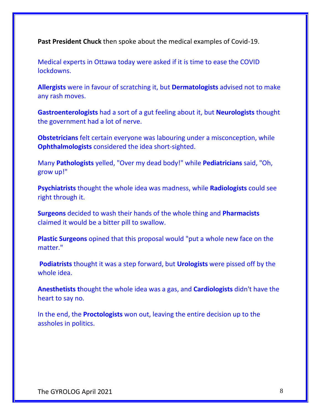**Past President Chuck** then spoke about the medical examples of Covid-19.

Medical experts in Ottawa today were asked if it is time to ease the COVID lockdowns.

**Allergists** were in favour of scratching it, but **Dermatologists** advised not to make any rash moves.

**Gastroenterologists** had a sort of a gut feeling about it, but **Neurologists** thought the government had a lot of nerve.

**Obstetricians** felt certain everyone was labouring under a misconception, while **Ophthalmologists** considered the idea short-sighted.

Many **Pathologists** yelled, "Over my dead body!" while **Pediatricians** said, "Oh, grow up!"

**Psychiatrists** thought the whole idea was madness, while **Radiologists** could see right through it.

**Surgeons** decided to wash their hands of the whole thing and **Pharmacists**  claimed it would be a bitter pill to swallow.

**Plastic Surgeons** opined that this proposal would "put a whole new face on the matter."

**Podiatrists** thought it was a step forward, but **Urologists** were pissed off by the whole idea.

**Anesthetists t**hought the whole idea was a gas, and **Cardiologists** didn't have the heart to say no.

In the end, the **Proctologists** won out, leaving the entire decision up to the assholes in politics.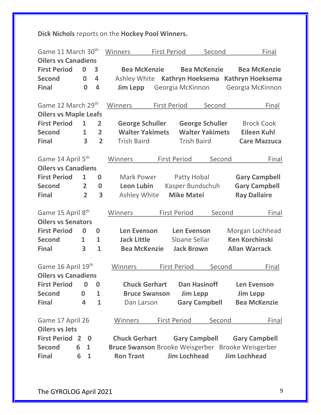## **Dick Nichols** reports on the **Hockey Pool Winners.**

| Game 11 March 30 <sup>th</sup> |                | Winners<br><b>First Period</b> |                |                                                      | Second                                           |                      | Final                                        |                      |                         |
|--------------------------------|----------------|--------------------------------|----------------|------------------------------------------------------|--------------------------------------------------|----------------------|----------------------------------------------|----------------------|-------------------------|
| <b>Oilers vs Canadiens</b>     |                |                                |                |                                                      |                                                  |                      |                                              |                      |                         |
| <b>First Period</b>            |                | 0                              | 3              | <b>Bea McKenzie</b><br><b>Bea McKenzie</b>           |                                                  |                      |                                              |                      | <b>Bea McKenzie</b>     |
| <b>Second</b>                  |                | $\bf{0}$                       | 4              | Ashley White                                         |                                                  | Kathryn Hoeksema     |                                              |                      | <b>Kathryn Hoeksema</b> |
| <b>Final</b>                   |                | 0                              | 4              | <b>Jim Lepp</b>                                      |                                                  | Georgia McKinnon     |                                              |                      | Georgia McKinnon        |
|                                |                |                                |                |                                                      |                                                  |                      |                                              |                      |                         |
| Game 12 March 29th             |                |                                |                | Winners                                              | <b>First Period</b>                              |                      | Second                                       |                      | Final                   |
| <b>Oilers vs Maple Leafs</b>   |                |                                |                |                                                      |                                                  |                      |                                              |                      |                         |
| <b>First Period</b>            |                | $\mathbf{1}$                   | $\overline{2}$ | <b>George Schuller</b><br><b>George Schuller</b>     |                                                  |                      | <b>Brock Cook</b>                            |                      |                         |
| <b>Second</b>                  |                | $\mathbf{1}$                   | $\overline{2}$ |                                                      | <b>Walter Yakimets</b><br><b>Walter Yakimets</b> |                      | <b>Eileen Kuhl</b>                           |                      |                         |
| <b>Final</b>                   |                | 3                              | $\overline{2}$ | <b>Trish Baird</b>                                   |                                                  | <b>Trish Baird</b>   |                                              |                      | <b>Care Mazzuca</b>     |
| Game 14 April 5 <sup>th</sup>  |                |                                |                | Winners                                              |                                                  | <b>First Period</b>  | Second                                       |                      | Final                   |
| <b>Oilers vs Canadiens</b>     |                |                                |                |                                                      |                                                  |                      |                                              |                      |                         |
| <b>First Period</b>            |                | $\mathbf{1}$                   | $\bf{0}$       | <b>Mark Power</b>                                    |                                                  |                      |                                              |                      |                         |
| <b>Second</b>                  |                | $\overline{2}$                 | 0              | Patty Hobal<br><b>Leon Lubin</b><br>Kasper Bundschuh |                                                  |                      | <b>Gary Campbell</b><br><b>Gary Campbell</b> |                      |                         |
|                                |                | $\overline{2}$                 | 3              |                                                      |                                                  |                      |                                              |                      |                         |
| <b>Final</b>                   |                |                                |                | Ashley White                                         |                                                  | <b>Mike Matei</b>    |                                              |                      | <b>Ray Dallaire</b>     |
| Game 15 April 8th              |                |                                |                | Winners                                              |                                                  | <b>First Period</b>  | Second                                       |                      | Final                   |
| <b>Oilers vs Senators</b>      |                |                                |                |                                                      |                                                  |                      |                                              |                      |                         |
| <b>First Period</b>            |                | $\bf{0}$                       | $\bf{0}$       | <b>Len Evenson</b>                                   |                                                  | <b>Len Evenson</b>   |                                              |                      | Morgan Lochhead         |
| <b>Second</b>                  | 1              |                                | $\mathbf{1}$   |                                                      | <b>Jack Little</b><br>Sloane Sellar              |                      | <b>Ken Korchinski</b>                        |                      |                         |
| <b>Final</b>                   | 3              |                                | $\mathbf{1}$   | <b>Bea McKenzie</b>                                  |                                                  | <b>Jack Brown</b>    |                                              | <b>Allan Warrack</b> |                         |
| Game 16 April 19th             |                |                                |                | Winners                                              |                                                  | <b>First Period</b>  | Second                                       |                      | Final                   |
| <b>Oilers vs Canadiens</b>     |                |                                |                |                                                      |                                                  |                      |                                              |                      |                         |
|                                |                |                                |                |                                                      |                                                  |                      |                                              |                      |                         |
| <b>First Period</b>            |                | 0                              | 0              | <b>Chuck Gerhart</b>                                 |                                                  | <b>Dan Hasinoff</b>  |                                              |                      | <b>Len Evenson</b>      |
| <b>Second</b>                  | 0              |                                | 1              | <b>Bruce Swanson</b>                                 |                                                  | <b>Jim Lepp</b>      |                                              | <b>Jim Lepp</b>      |                         |
| <b>Final</b>                   | 4              |                                | $\mathbf{1}$   | Dan Larson                                           |                                                  | <b>Gary Campbell</b> |                                              |                      | <b>Bea McKenzie</b>     |
| Game 17 April 26               |                |                                |                | Winners                                              |                                                  | <b>First Period</b>  | Second                                       |                      | Final                   |
| <b>Oilers vs Jets</b>          |                |                                |                |                                                      |                                                  |                      |                                              |                      |                         |
| <b>First Period</b>            | $\overline{2}$ | $\bf{0}$                       |                | <b>Chuck Gerhart</b>                                 |                                                  | <b>Gary Campbell</b> |                                              |                      | <b>Gary Campbell</b>    |
| <b>Second</b>                  | 6              | $\mathbf{1}$                   |                | Bruce Swanson Brooke Weisgerber Brooke Weisgerber    |                                                  |                      |                                              |                      |                         |
| <b>Final</b>                   | 6              | 1                              |                | <b>Ron Trant</b>                                     |                                                  | <b>Jim Lochhead</b>  |                                              | <b>Jim Lochhead</b>  |                         |